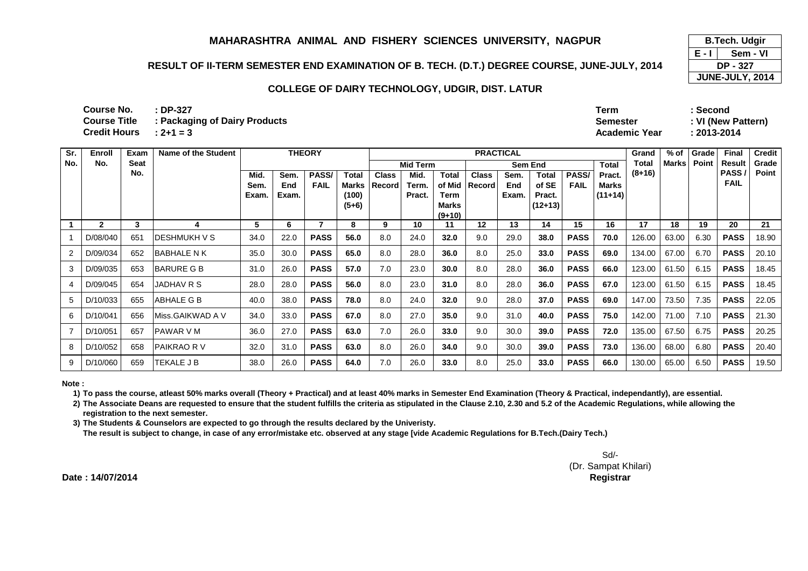## **RESULT OF II-TERM SEMESTER END EXAMINATION OF B. TECH. (D.T.) DEGREE COURSE, JUNE-JULY, 2014**

#### **COLLEGE OF DAIRY TECHNOLOGY, UDGIR, DIST. LATUR**

**: DP-327 Term : Second: 2+1 = 3 Academic Year : 2013-2014 Course No.Course Title Course Title : Packaging of Dairy ProductsCredit Hours**

**Total Pract. Mid. Sem. Exam.Sem. End Exam.PASS/ FAILTotal Marks (100) (5+6)Class RecordMid. Term. Pract.Total of Mid Term Marks (9+10)Class RecordSem. End Exam.Total of SE Pract. (12+13)PASS/ FAIL Marks (11+14)1 <sup>2</sup> <sup>3</sup> <sup>4</sup> <sup>5</sup> <sup>6</sup> <sup>7</sup> <sup>8</sup> <sup>9</sup> <sup>10</sup> <sup>11</sup> <sup>12</sup> <sup>13</sup> <sup>14</sup> <sup>15</sup> <sup>16</sup> <sup>17</sup> <sup>18</sup> <sup>19</sup> <sup>20</sup> <sup>21</sup>** 1 | D/08/040 | 651 | DESHMUKH V S | 34.0 | 22.0 **PASS 56.0** 8.0 24.0 **32.0** 9.0 29.0 **38.0 PASS 70.0** 126.00 63.00 6.30 **PASSPASS** 18.90 2 | D/09/034 | 652 | BABHALE N K | 35.0 | 30.0 **PASS 65.0** 8.0 28.0 **36.0** 8.0 25.0 **33.0 PASS 69.0** 134.00 67.00 6.70 **PASSPASS** 20.10 3 | D/09/035 | 653 | BARURE G B | 31.0 | 26.0 **PASS 57.0** 7.0 23.0 **30.0** 8.0 28.0 **36.0 PASS 66.0** 123.00 61.50 6.15 **PASSPASS** | 18.45 4 | D/09/045 | 654 | JADHAV R S | 28.0 | 28.0 **PASS 56.0** 8.0 23.0 **31.0** 8.0 28.0 **36.0 PASS 67.0** 123.00 61.50 6.15 **PASSPASS** 18.45 5 | D/10/033 | 655 | ABHALE G B | 40.0 | 38.0 **PASS 78.0** 8.0 24.0 **32.0** 9.0 28.0 **37.0 PASS 69.0** 147.00 73.50 7.35 **PASSPASS** 22.05 6 D/10/041 656 Miss.GAIKWAD A V 34.0 33.0 **PASS 67.0** 8.0 27.0 **35.0** 9.0 31.0 **40.0 PASS 75.0** 142.00 71.00 7.10 **PASSPASS** 21.30 <sup>7</sup> D/10/051 657 PAWAR V M 36.0 27.0 **PASS 63.0** 7.0 26.0 **33.0** 9.0 30.0 **39.0 PASS 72.0** 135.00 67.50 6.75 **PASSPASS** 20.25 8 | D/10/052 | 658 | PAIKRAO R V | 32.0 | 31.0 **PASS 63.0** 8.0 26.0 **34.0** 9.0 30.0 **39.0 PASS 73.0** 136.00 68.00 6.80 **PASSPASS** 20.40 9 D/10/060 659 TEKALE JB 38.0 26.0 **PASS 64.0** 7.0 26.0 **33.0** 8.0 25.0 **33.0 PASS 66.0** 130.00 65.00 6.50 **PASS**PASS 19.50 **Sr. No.Enroll No.Exam Seat No.Name of the Student THEORYFINAL PRACTICAL CONSERVANCE CONSERVANCE CONSERVANCE PRACTICAL CONSERVANCE CONSERVANCE CONSERVANCE CONSERVANCE CONSERVANCE CONSERVANCE CONSERVANCE CONSERVANCE CONSERVANCE CONSERVANCE CONSERVANCE CONSERVANCE CONSERVANCE CON Result PASS / FAILCredit Grade PointMid Term Sem End PRACTICAL Grand Total (8+16)% of MarksGrade Point**

**Note :**

**1) To pass the course, atleast 50% marks overall (Theory + Practical) and at least 40% marks in Semester End Examination (Theory & Practical, independantly), are essential.** 

**2) The Associate Deans are requested to ensure that the student fulfills the criteria as stipulated in the Clause 2.10, 2.30 and 5.2 of the Academic Regulations, while allowing the registration to the next semester.**

**3) The Students & Counselors are expected to go through the results declared by the Univeristy.** 

**The result is subject to change, in case of any error/mistake etc. observed at any stage [vide Academic Regulations for B.Tech.(Dairy Tech.)**

Sd/- (Dr. Sampat Khilari)**Controller of Examinations Registrar**

**Date : 14/07/2014**

**E - I JUNE-JULY, 2014 B.Tech. Udgir Sem - VIDP - 327**

**Semester : VI (New Pattern)**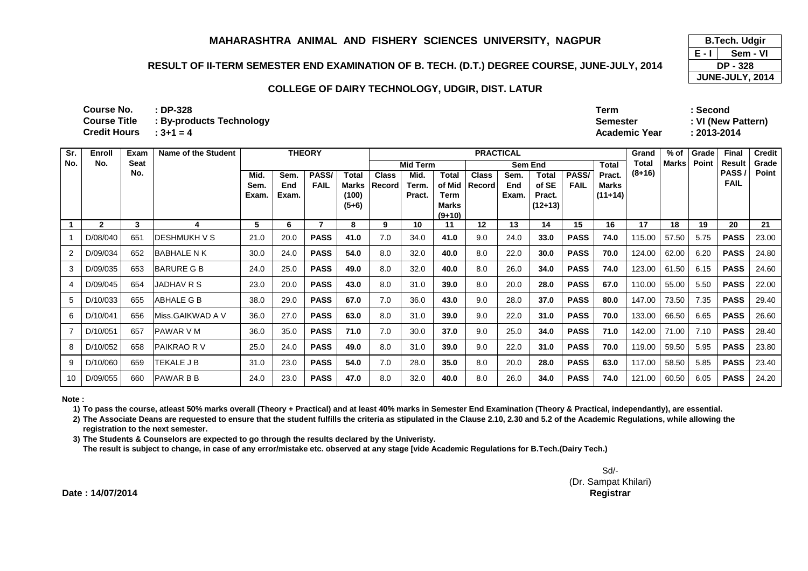## **RESULT OF II-TERM SEMESTER END EXAMINATION OF B. TECH. (D.T.) DEGREE COURSE, JUNE-JULY, 2014**

#### **COLLEGE OF DAIRY TECHNOLOGY, UDGIR, DIST. LATUR**

**: DP-328 Term : Second: 3+1 = 4Course Title : By-products TechnologyCredit Hours**

**Name of the Student THEORY**

 **Semester : VI (New Pattern)Academic Year : 2013-2014**

**% of** 

| Sr.            | Enroll         | Exam | Name of the Student | <b>THEORY</b><br><b>PRACTICAL</b> |                      |                      |                                    |                        |                         |                                              |                        | Grand                | % of                                         | Grade                | Final                               | <b>Cre</b> |              |       |                      |      |
|----------------|----------------|------|---------------------|-----------------------------------|----------------------|----------------------|------------------------------------|------------------------|-------------------------|----------------------------------------------|------------------------|----------------------|----------------------------------------------|----------------------|-------------------------------------|------------|--------------|-------|----------------------|------|
| No.            | No.            | Seat |                     |                                   |                      |                      |                                    |                        | <b>Mid Term</b>         |                                              |                        |                      | Sem End                                      |                      | Total                               | Total      | <b>Marks</b> | Point | Result               | Gra  |
|                |                | No.  |                     | Mid.<br>Sem.<br>Exam.             | Sem.<br>End<br>Exam. | PASS/<br><b>FAIL</b> | Total<br>Marks<br>(100)<br>$(5+6)$ | <b>Class</b><br>Record | Mid.<br>Term.<br>Pract. | Total<br>of Mid<br>Term<br>Marks<br>$(9+10)$ | <b>Class</b><br>Record | Sem.<br>End<br>Exam. | <b>Total</b><br>of SE<br>Pract.<br>$(12+13)$ | PASS/<br><b>FAIL</b> | Pract.<br><b>Marks</b><br>$(11+14)$ | $(8+16)$   |              |       | PASS/<br><b>FAIL</b> | Poi  |
|                | 2              | 3    |                     | 5                                 | 6                    |                      | 8                                  | 9                      | 10                      | 11                                           | 12                     | 13                   | 14                                           | 15                   | 16                                  | 17         | 18           | 19    | 20                   | 21   |
|                | D/08/040       | 651  | <b>DESHMUKH V S</b> | 21.0                              | 20.0                 | <b>PASS</b>          | 41.0                               | 7.0                    | 34.0                    | 41.0                                         | 9.0                    | 24.0                 | 33.0                                         | <b>PASS</b>          | 74.0                                | 115.00     | 57.50        | 5.75  | <b>PASS</b>          | 23.0 |
|                | 2 D/09/034     | 652  | <b>BABHALE N K</b>  | 30.0                              | 24.0                 | <b>PASS</b>          | 54.0                               | 8.0                    | 32.0                    | 40.0                                         | 8.0                    | 22.0                 | 30.0                                         | <b>PASS</b>          | 70.0                                | 124.00     | 62.00        | 6.20  | <b>PASS</b>          | 24.8 |
|                | $3$   D/09/035 | 653  | IBARURE G B         | 24.0                              | 25.0                 | <b>PASS</b>          | 49.0                               | 8.0                    | 32.0                    | 40.0                                         | 8.0                    | 26.0                 | 34.0                                         | <b>PASS</b>          | 74.0                                | 123.00     | 61.50        | 6.15  | <b>PASS</b>          | 24.0 |
|                | 4 D/09/045     | 654  | JADHAV R S          | 23.0                              | 20.0                 | <b>PASS</b>          | 43.0                               | 8.0                    | 31.0                    | 39.0                                         | 8.0                    | 20.0                 | 28.0                                         | <b>PASS</b>          | 67.0                                | 110.00     | 55.00        | 5.50  | <b>PASS</b>          | 22.0 |
|                | 5 D/10/033     | 655  | ABHALE G B          | 38.0                              | 29.0                 | <b>PASS</b>          | 67.0                               | 7.0                    | 36.0                    | 43.0                                         | 9.0                    | 28.0                 | 37.0                                         | <b>PASS</b>          | 80.0                                | 147.00     | 73.50        | 7.35  | <b>PASS</b>          | 29.4 |
|                | 6 D/10/041     | 656  | Miss.GAIKWAD A V    | 36.0                              | 27.0                 | <b>PASS</b>          | 63.0                               | 8.0                    | 31.0                    | 39.0                                         | 9.0                    | 22.0                 | 31.0                                         | <b>PASS</b>          | 70.0                                | 133.00     | 66.50        | 6.65  | <b>PASS</b>          | 26.0 |
| $\overline{7}$ | D/10/051       | 657  | IPAWAR V M          | 36.0                              | 35.0                 | <b>PASS</b>          | 71.0                               | 7.0                    | 30.0                    | 37.0                                         | 9.0                    | 25.0                 | 34.0                                         | <b>PASS</b>          | 71.0                                | 142.00     | 71.00        | 7.10  | <b>PASS</b>          | 28.4 |
|                | 8 D/10/052     | 658  | <b>PAIKRAO RV</b>   | 25.0                              | 24.0                 | <b>PASS</b>          | 49.0                               | 8.0                    | 31.0                    | 39.0                                         | 9.0                    | 22.0                 | 31.0                                         | <b>PASS</b>          | 70.0                                | 119.00     | 59.50        | 5.95  | <b>PASS</b>          | 23.8 |

**Note :**

**Sr. No.** **Course No.Course Title** 

**1) To pass the course, atleast 50% marks overall (Theory + Practical) and at least 40% marks in Semester End Examination (Theory & Practical, independantly), are essential.** 

2) The Associate Deans are requested to ensure that the student fulfills the criteria as stipulated in the Clause 2.10, 2.30 and 5.2 of the Academic Regulations, while allowing the **registration to the next semester.**

**3) The Students & Counselors are expected to go through the results declared by the Univeristy.** 

9 D/10/060 659 TEKALE JB 31.0 23.0

10 D/09/055 660 PAWAR B B 24.0 23.0

**The result is subject to change, in case of any error/mistake etc. observed at any stage [vide Academic Regulations for B.Tech.(Dairy Tech.)**

Sd/- (Dr. Sampat Khilari)**Controller of Examinations Registrar**

**PASS 54.0** 7.0 28.0 **35.0** 8.0 20.0 **28.0 PASS 63.0** 117.00 58.50 5.85 **PASS**

**PRACTICAL** 

**PASS 47.0** 8.0 32.0 **40.0** 8.0 26.0 **34.0 PASS 74.0** 121.00 60.50 6.05 **PASS**

**Date : 14/07/2014**

**E - I JUNE-JULY, 2014 B.Tech. Udgir Sem - VIDP - 328**

**Grade Point**

**PASS** 23.00

**Credit Grade Point**

**PASS** 24.80

**PASS** 24.60

**PASS** 22.00

**PASS** 29.40

**PASS** 26.60

**PASS** 28.40

**PASS** 23.80

**PASS** 23.40

**PASS** 24.20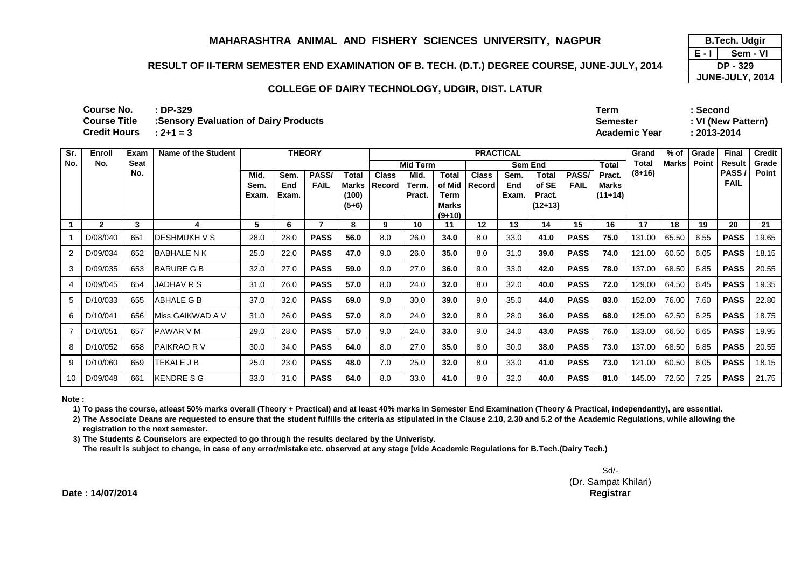## **RESULT OF II-TERM SEMESTER END EXAMINATION OF B. TECH. (D.T.) DEGREE COURSE, JUNE-JULY, 2014**

### **COLLEGE OF DAIRY TECHNOLOGY, UDGIR, DIST. LATUR**

| Course No.               | $:DP-329$                                                  | ™erm                 | Second      |
|--------------------------|------------------------------------------------------------|----------------------|-------------|
|                          | <b>Course Title : Sensory Evaluation of Dairy Products</b> | Semester             | : VI (New P |
| Credit Hours $: 2+1 = 3$ |                                                            | <b>Academic Year</b> | 2013-2014   |

**Semester : VI (New Pattern)**

**E - I** 

 **B.Tech. Udgir Sem - VI**

 **DP - 329 JUNE-JULY, 2014**

| Sr. | <b>Enroll</b> | Exam | <b>Name of the Student</b> |                                |       | <b>THEORY</b> |         |        |                 |                          | <b>PRACTICAL</b> |       | Grand          | $%$ of      | Grade        | <b>Final</b> | <b>Credit</b> |       |               |       |
|-----|---------------|------|----------------------------|--------------------------------|-------|---------------|---------|--------|-----------------|--------------------------|------------------|-------|----------------|-------------|--------------|--------------|---------------|-------|---------------|-------|
| No. | No.           | Seat |                            |                                |       |               |         |        | <b>Mid Term</b> |                          |                  |       | <b>Sem End</b> |             | <b>Total</b> | Total        | <b>Marks</b>  | Point | <b>Result</b> | Grade |
|     |               | No.  |                            | PASS/<br>Mid.<br>Sem.<br>Total |       | <b>Class</b>  | Mid.    | Total  | <b>Class</b>    | Sem.                     | Total            | PASS/ | Pract.         | $(8+16)$    |              |              | PASS          | Point |               |       |
|     |               |      |                            | Sem.                           | End   | <b>FAIL</b>   | Marks   | Record | Term.           | of Mid                   | <b>Record</b>    | End   | of SE          | <b>FAIL</b> | Marks        |              |               |       | <b>FAIL</b>   |       |
|     |               |      |                            | Exam.                          | Exam. |               | (100)   |        | Pract.          | Term                     |                  | Exam. | Pract.         |             | $(11+14)$    |              |               |       |               |       |
|     |               |      |                            |                                |       |               | $(5+6)$ |        |                 | <b>Marks</b><br>$(9+10)$ |                  |       | $(12+13)$      |             |              |              |               |       |               |       |
|     | $\mathbf{2}$  | 3    | 4                          | 5                              | 6     |               | 8       | 9      | 10              | 11                       | $12 \,$          | 13    | 14             | 15          | 16           | 17           | 18            | 19    | 20            | 21    |
|     | D/08/040      | 651  | <b>IDESHMUKH V S</b>       | 28.0                           | 28.0  | <b>PASS</b>   | 56.0    | 8.0    | 26.0            | 34.0                     | 8.0              | 33.0  | 41.0           | <b>PASS</b> | 75.0         | 131.00       | 65.50         | 6.55  | <b>PASS</b>   | 19.65 |
|     | D/09/034      | 652  | <b>BABHALE N K</b>         | 25.0                           | 22.0  | <b>PASS</b>   | 47.0    | 9.0    | 26.0            | 35.0                     | 8.0              | 31.0  | 39.0           | <b>PASS</b> | 74.0         | 121.00       | 60.50         | 6.05  | <b>PASS</b>   | 18.15 |
| 3   | D/09/035      | 653  | <b>BARURE G B</b>          | 32.0                           | 27.0  | <b>PASS</b>   | 59.0    | 9.0    | 27.0            | 36.0                     | 9.0              | 33.0  | 42.0           | <b>PASS</b> | 78.0         | 137.00       | 68.50         | 6.85  | <b>PASS</b>   | 20.55 |
|     | D/09/045      | 654  | JADHAV R S                 | 31.0                           | 26.0  | <b>PASS</b>   | 57.0    | 8.0    | 24.0            | 32.0                     | 8.0              | 32.0  | 40.0           | <b>PASS</b> | 72.0         | 129.00       | 64.50         | 6.45  | <b>PASS</b>   | 19.35 |
| 5   | D/10/033      | 655  | <b>ABHALE G B</b>          | 37.0                           | 32.0  | <b>PASS</b>   | 69.0    | 9.0    | 30.0            | 39.0                     | 9.0              | 35.0  | 44.0           | <b>PASS</b> | 83.0         | 152.00       | 76.00         | 7.60  | <b>PASS</b>   | 22.80 |
| 6   | D/10/041      | 656  | Miss.GAIKWAD A V           | 31.0                           | 26.0  | <b>PASS</b>   | 57.0    | 8.0    | 24.0            | 32.0                     | 8.0              | 28.0  | 36.0           | <b>PASS</b> | 68.0         | 125.00       | 62.50         | 6.25  | <b>PASS</b>   | 18.75 |
|     | D/10/051      | 657  | <b>PAWAR V M</b>           | 29.0                           | 28.0  | <b>PASS</b>   | 57.0    | 9.0    | 24.0            | 33.0                     | 9.0              | 34.0  | 43.0           | <b>PASS</b> | 76.0         | 133.00       | 66.50         | 6.65  | <b>PASS</b>   | 19.95 |
| 8   | D/10/052      | 658  | <b>PAIKRAO RV</b>          | 30.0                           | 34.0  | <b>PASS</b>   | 64.0    | 8.0    | 27.0            | 35.0                     | 8.0              | 30.0  | 38.0           | <b>PASS</b> | 73.0         | 137.00       | 68.50         | 6.85  | <b>PASS</b>   | 20.55 |
| -9  | D/10/060      | 659  | TEKALE J B                 | 25.0                           | 23.0  | <b>PASS</b>   | 48.0    | 7.0    | 25.0            | 32.0                     | 8.0              | 33.0  | 41.0           | <b>PASS</b> | 73.0         | 121.00       | 60.50         | 6.05  | <b>PASS</b>   | 18.15 |
| 10  | D/09/048      | 661  | <b>KENDRE S G</b>          | 33.0                           | 31.0  | <b>PASS</b>   | 64.0    | 8.0    | 33.0            | 41.0                     | 8.0              | 32.0  | 40.0           | <b>PASS</b> | 81.0         | 145.00       | 72.50         | 7.25  | <b>PASS</b>   | 21.75 |

**Note :**

**1) To pass the course, atleast 50% marks overall (Theory + Practical) and at least 40% marks in Semester End Examination (Theory & Practical, independantly), are essential.** 

**2) The Associate Deans are requested to ensure that the student fulfills the criteria as stipulated in the Clause 2.10, 2.30 and 5.2 of the Academic Regulations, while allowing the registration to the next semester.**

**3) The Students & Counselors are expected to go through the results declared by the Univeristy.** 

**The result is subject to change, in case of any error/mistake etc. observed at any stage [vide Academic Regulations for B.Tech.(Dairy Tech.)**

Sd/- (Dr. Sampat Khilari)**Controller of Examinations Registrar**

**Date : 14/07/2014**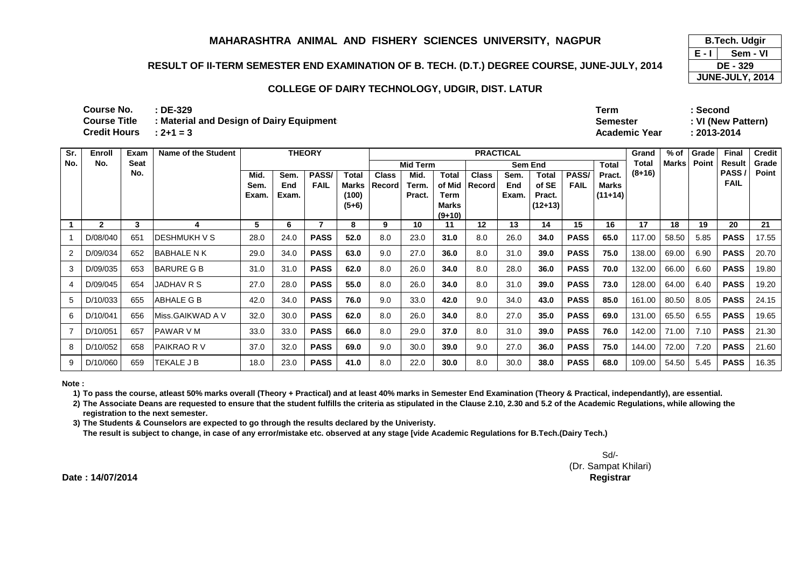## **RESULT OF II-TERM SEMESTER END EXAMINATION OF B. TECH. (D.T.) DEGREE COURSE, JUNE-JULY, 2014**

### **COLLEGE OF DAIRY TECHNOLOGY, UDGIR, DIST. LATUR**

| Term            | Second      |
|-----------------|-------------|
| <b>Semester</b> | : VI (New P |
| Academic Year   | : 2013-2014 |
|                 |             |

**Semester : VI (New Pattern)**

| Sr. | Enroll       | Exam | <b>Name of the Student</b> |       |       | <b>THEORY</b> |         |              |                 |              | <b>PRACTICAL</b> |       | Grand     | $%$ of      | Grade        | <b>Final</b> | <b>Credit</b> |       |             |       |
|-----|--------------|------|----------------------------|-------|-------|---------------|---------|--------------|-----------------|--------------|------------------|-------|-----------|-------------|--------------|--------------|---------------|-------|-------------|-------|
| No. | No.          | Seat |                            |       |       |               |         |              | <b>Mid Term</b> |              |                  |       | Sem End   |             | <b>Total</b> | Total        | <b>Marks</b>  | Point | Result      | Grade |
|     |              | No.  |                            | Mid.  | Sem.  | PASS/         | Total   | <b>Class</b> | Mid.            | Total        | <b>Class</b>     | Sem.  | Total     | PASS/       | Pract.       | $(8+16)$     |               |       | PASS        | Point |
|     |              |      |                            | Sem.  | End   | <b>FAIL</b>   | Marks   | Record       | Term.           | of Mid       | Record           | End   | of SE     | <b>FAIL</b> | Marks        |              |               |       | <b>FAIL</b> |       |
|     |              |      |                            | Exam. | Exam. |               | (100)   |              | Pract.          | Term         |                  | Exam. | Pract.    |             | $(11+14)$    |              |               |       |             |       |
|     |              |      |                            |       |       |               | $(5+6)$ |              |                 | <b>Marks</b> |                  |       | $(12+13)$ |             |              |              |               |       |             |       |
|     |              |      |                            | 5     |       |               |         | 9            |                 | $(9+10)$     | $12 \,$          |       | 14        | 15          | 16           | 17           | 18            | 19    | 20          |       |
|     | $\mathbf{2}$ | 3    |                            |       | 6     |               | 8       |              | 10              | 11           |                  | 13    |           |             |              |              |               |       |             | 21    |
|     | D/08/040     | 651  | IDESHMUKH V S              | 28.0  | 24.0  | <b>PASS</b>   | 52.0    | 8.0          | 23.0            | 31.0         | 8.0              | 26.0  | 34.0      | <b>PASS</b> | 65.0         | 117.00       | 58.50         | 5.85  | <b>PASS</b> | 17.55 |
|     | D/09/034     | 652  | <b>BABHALE N K</b>         | 29.0  | 34.0  | <b>PASS</b>   | 63.0    | 9.0          | 27.0            | 36.0         | 8.0              | 31.0  | 39.0      | <b>PASS</b> | 75.0         | 138.00       | 69.00         | 6.90  | <b>PASS</b> | 20.70 |
| 3   | D/09/035     | 653  | <b>BARURE G B</b>          | 31.0  | 31.0  | <b>PASS</b>   | 62.0    | 8.0          | 26.0            | 34.0         | 8.0              | 28.0  | 36.0      | <b>PASS</b> | 70.0         | 132.00       | 66.00         | 6.60  | <b>PASS</b> | 19.80 |
|     | D/09/045     | 654  | JADHAV R S                 | 27.0  | 28.0  | <b>PASS</b>   | 55.0    | 8.0          | 26.0            | 34.0         | 8.0              | 31.0  | 39.0      | <b>PASS</b> | 73.0         | 128.00       | 64.00         | 6.40  | <b>PASS</b> | 19.20 |
| 5   | D/10/033     | 655  | ABHALE G B                 | 42.0  | 34.0  | <b>PASS</b>   | 76.0    | 9.0          | 33.0            | 42.0         | 9.0              | 34.0  | 43.0      | <b>PASS</b> | 85.0         | 161.00       | 80.50         | 8.05  | <b>PASS</b> | 24.15 |
| 6   | D/10/041     | 656  | Miss.GAIKWAD A V           | 32.0  | 30.0  | <b>PASS</b>   | 62.0    | 8.0          | 26.0            | 34.0         | 8.0              | 27.0  | 35.0      | <b>PASS</b> | 69.0         | 131.00       | 65.50         | 6.55  | <b>PASS</b> | 19.65 |
|     | D/10/051     | 657  | <b>PAWAR V M</b>           | 33.0  | 33.0  | <b>PASS</b>   | 66.0    | 8.0          | 29.0            | 37.0         | 8.0              | 31.0  | 39.0      | <b>PASS</b> | 76.0         | 142.00       | 71.00         | 7.10  | <b>PASS</b> | 21.30 |
| 8   | D/10/052     | 658  | <b>PAIKRAO RV</b>          | 37.0  | 32.0  | <b>PASS</b>   | 69.0    | 9.0          | 30.0            | 39.0         | 9.0              | 27.0  | 36.0      | <b>PASS</b> | 75.0         | 144.00       | 72.00         | 7.20  | <b>PASS</b> | 21.60 |
| 9   | D/10/060     | 659  | TEKALE J B                 | 18.0  | 23.0  | <b>PASS</b>   | 41.0    | 8.0          | 22.0            | 30.0         | 8.0              | 30.0  | 38.0      | <b>PASS</b> | 68.0         | 109.00       | 54.50         | 5.45  | <b>PASS</b> | 16.35 |

**Note :**

**1) To pass the course, atleast 50% marks overall (Theory + Practical) and at least 40% marks in Semester End Examination (Theory & Practical, independantly), are essential.** 

**2) The Associate Deans are requested to ensure that the student fulfills the criteria as stipulated in the Clause 2.10, 2.30 and 5.2 of the Academic Regulations, while allowing the registration to the next semester.**

**3) The Students & Counselors are expected to go through the results declared by the Univeristy.** 

**The result is subject to change, in case of any error/mistake etc. observed at any stage [vide Academic Regulations for B.Tech.(Dairy Tech.)**

Sd/- (Dr. Sampat Khilari)**Controller of Examinations Registrar**

**Date : 14/07/2014**

**E - I B.Tech. Udgir Sem - VI DE - 329 JUNE-JULY, 2014**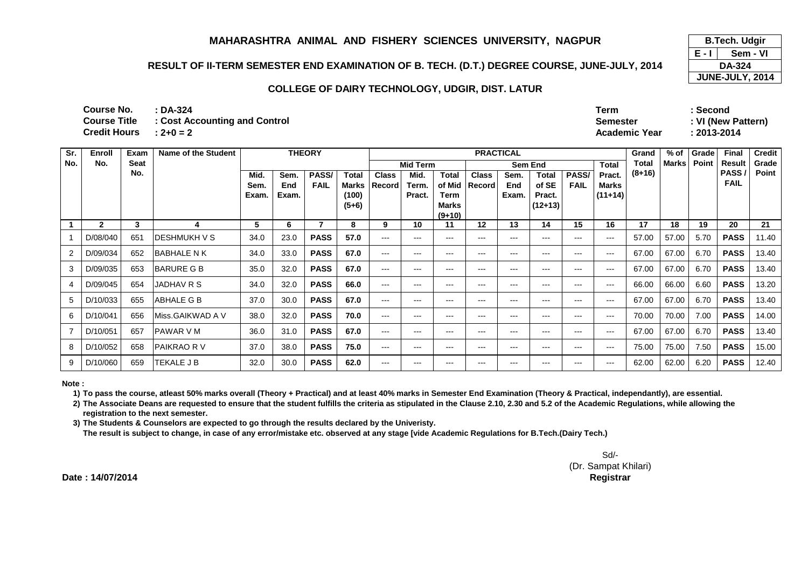## **RESULT OF II-TERM SEMESTER END EXAMINATION OF B. TECH. (D.T.) DEGREE COURSE, JUNE-JULY, 2014**

#### **COLLEGE OF DAIRY TECHNOLOGY, UDGIR, DIST. LATUR**

**: DA-324Term : Second**

 **Semester : VI (New Pattern)Academic Year : 2013-2014**

**: 2+0 = 2Course Title : Cost Accounting and Control Credit Hours**

**Course No.**

| Sr. | Enroll         | Exam        | Name of the Student |       |       | <b>THEORY</b> |         |              |                        |                   | <b>PRACTICAL</b> |                        | Grand             | $%$ of      | Grade        | <b>Final</b> | <b>Credit</b> |       |                   |       |
|-----|----------------|-------------|---------------------|-------|-------|---------------|---------|--------------|------------------------|-------------------|------------------|------------------------|-------------------|-------------|--------------|--------------|---------------|-------|-------------------|-------|
| No. | No.            | <b>Seat</b> |                     |       |       |               |         |              | <b>Mid Term</b>        |                   |                  | <b>Sem End</b>         |                   |             | <b>Total</b> | Total        | <b>Marks</b>  | Point | <b>Result</b>     | Grade |
|     |                | No.         |                     | Mid.  | Sem.  | PASS/         | Total   | <b>Class</b> | Mid.                   | Total             | <b>Class</b>     | Sem.                   | Total             | PASS/       | Pract.       | $(8+16)$     |               |       | PASS <sub>1</sub> | Point |
|     |                |             |                     | Sem.  | End   | <b>FAIL</b>   | Marks   | Record       | Term.                  | of Mid            | Record           | End                    | of SE             | <b>FAIL</b> | Marks        |              |               |       | <b>FAIL</b>       |       |
|     |                |             |                     | Exam. | Exam. |               | (100)   |              | Pract.                 | Term              |                  | Exam.                  | Pract.            |             | $(11+14)$    |              |               |       |                   |       |
|     |                |             |                     |       |       |               | $(5+6)$ |              |                        | <b>Marks</b>      |                  |                        | $(12+13)$         |             |              |              |               |       |                   |       |
|     | $\overline{2}$ | 3           |                     | 5     | 6     | 7             | 8       | 9            | 10                     | $(9+10)$<br>11    | 12               | 13                     | 14                | 15          | 16           | 17           | 18            | 19    | 20                | 21    |
|     |                |             |                     |       |       |               |         |              |                        |                   |                  |                        |                   |             |              |              |               |       |                   |       |
|     | D/08/040       | 651         | <b>DESHMUKH V S</b> | 34.0  | 23.0  | <b>PASS</b>   | 57.0    | $---$        | $---$                  | $---$             | $---$            | $---$                  | $---$             | $---$       | $---$        | 57.00        | 57.00         | 5.70  | <b>PASS</b>       | 11.40 |
|     | D/09/034       | 652         | <b>BABHALE N K</b>  | 34.0  | 33.0  | <b>PASS</b>   | 67.0    | $---$        | $\qquad \qquad \cdots$ | $\qquad \qquad -$ | $---$            | $\qquad \qquad \cdots$ | ---               | $---$       | ---          | 67.00        | 67.00         | 6.70  | <b>PASS</b>       | 13.40 |
| 3   | D/09/035       | 653         | <b>BARURE G B</b>   | 35.0  | 32.0  | <b>PASS</b>   | 67.0    | $---$        | $---$                  | $---$             | $---$            | $---$                  | $---$             | $---$       | $---$        | 67.00        | 67.00         | 6.70  | <b>PASS</b>       | 13.40 |
|     | D/09/045       | 654         | JADHAV R S          | 34.0  | 32.0  | <b>PASS</b>   | 66.0    | $---$        | $---$                  | ---               | ---              | ---                    | ---               | $---$       | ---          | 66.00        | 66.00         | 6.60  | <b>PASS</b>       | 13.20 |
| 5.  | D/10/033       | 655         | ABHALE G B          | 37.0  | 30.0  | <b>PASS</b>   | 67.0    | $---$        | $---$                  | $---$             | $---$            | $---$                  | $---$             | $---$       | $---$        | 67.00        | 67.00         | 6.70  | <b>PASS</b>       | 13.40 |
| 6   | D/10/041       | 656         | Miss.GAIKWAD A V    | 38.0  | 32.0  | <b>PASS</b>   | 70.0    | $---$        | $---$                  | $\qquad \qquad -$ | $---$            | $\qquad \qquad \cdots$ | ---               | $---$       | ---          | 70.00        | 70.00         | 7.00  | <b>PASS</b>       | 14.00 |
|     | D/10/051       | 657         | <b>PAWAR V M</b>    | 36.0  | 31.0  | <b>PASS</b>   | 67.0    | $---$        | $\qquad \qquad \cdots$ | $---$             | $---$            | $\qquad \qquad \cdots$ | $\qquad \qquad -$ | $---$       | $---$        | 67.00        | 67.00         | 6.70  | <b>PASS</b>       | 13.40 |
| 8   | D/10/052       | 658         | PAIKRAO R V         | 37.0  | 38.0  | <b>PASS</b>   | 75.0    | $---$        | $---$                  | ---               | ---              | ---                    | ---               | ---         | ---          | 75.00        | 75.00         | 7.50  | <b>PASS</b>       | 15.00 |
| 9   | D/10/060       | 659         | TEKALE J B          | 32.0  | 30.0  | <b>PASS</b>   | 62.0    | $---$        | $---$                  | $\qquad \qquad -$ | ---              | ---                    | ---               | $- - -$     | ---          | 62.00        | 62.00         | 6.20  | <b>PASS</b>       | 12.40 |

**Note :**

**1) To pass the course, atleast 50% marks overall (Theory + Practical) and at least 40% marks in Semester End Examination (Theory & Practical, independantly), are essential.** 

**2) The Associate Deans are requested to ensure that the student fulfills the criteria as stipulated in the Clause 2.10, 2.30 and 5.2 of the Academic Regulations, while allowing the registration to the next semester.**

**3) The Students & Counselors are expected to go through the results declared by the Univeristy.** 

**The result is subject to change, in case of any error/mistake etc. observed at any stage [vide Academic Regulations for B.Tech.(Dairy Tech.)**

Sd/- (Dr. Sampat Khilari)**Controller of Examinations Registrar**

**Date : 14/07/2014**

**E - I B.Tech. Udgir Sem - VI DA-324 JUNE-JULY, 2014**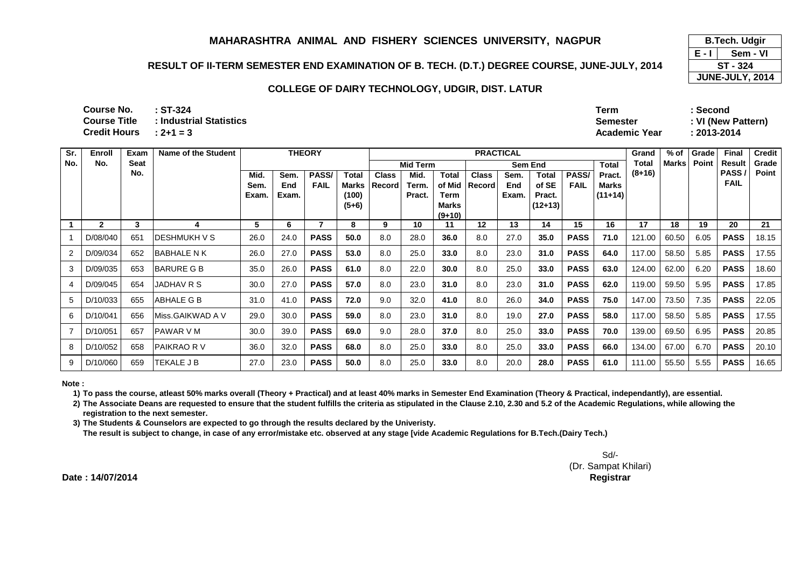## **RESULT OF II-TERM SEMESTER END EXAMINATION OF B. TECH. (D.T.) DEGREE COURSE, JUNE-JULY, 2014**

#### **COLLEGE OF DAIRY TECHNOLOGY, UDGIR, DIST. LATUR**

| Course No.          | $:ST-324$               | Term                 | ∵Second     |
|---------------------|-------------------------|----------------------|-------------|
| Course Title        | : Industrial Statistics | Semester             | : VI (New P |
| <b>Credit Hours</b> | $: 2 + 1 = 3$           | <b>Academic Year</b> | : 2013-2014 |

**Total Pract. Mid. Sem. Exam.Sem. End Exam.PASS/ FAILTotal Marks (100) (5+6)Class RecordMid. Term. Pract.Total of Mid Term Marks (9+10)Class RecordSem. End Exam.Total of SE Pract. (12+13)PASS/ FAIL Marks (11+14)1 <sup>2</sup> <sup>3</sup> <sup>4</sup> <sup>5</sup> <sup>6</sup> <sup>7</sup> <sup>8</sup> <sup>9</sup> <sup>10</sup> <sup>11</sup> <sup>12</sup> <sup>13</sup> <sup>14</sup> <sup>15</sup> <sup>16</sup> <sup>17</sup> <sup>18</sup> <sup>19</sup> <sup>20</sup> <sup>21</sup>** 1 D/08/040 651 DESHMUKH V S 26.0 24.0 **PASS 50.0** 8.0 28.0 **36.0** 8.0 27.0 **35.0 PASS 71.0** 121.00 60.50 6.05 **PASSPASS** 18.15 2 D/09/034 652 BABHALE N K 26.0 27.0 **PASS 53.0** 8.0 25.0 **33.0** 8.0 23.0 **31.0 PASS 64.0** 117.00 58.50 5.85 **PASSPASS** 17.55 3 | D/09/035 | 653 | BARURE G B | 35.0 | 26.0 **PASS 61.0** 8.0 22.0 **30.0** 8.0 25.0 **33.0 PASS 63.0** 124.00 62.00 6.20 **PASSPASS** | 18.60 4 | D/09/045 | 654 | JADHAV R S | 30.0 | 27.0 **PASS 57.0** 8.0 23.0 **31.0** 8.0 23.0 **31.0 PASS 62.0** 119.00 59.50 5.95 **PASSPASS** 17.85 5 | D/10/033 | 655 | ABHALE G B | 31.0 | 41.0 **PASS 72.0** 9.0 32.0 **41.0** 8.0 26.0 **34.0 PASS 75.0** 147.00 73.50 7.35 **PASSPASS** 22.05 6 D/10/041 656 Miss.GAIKWAD A V 29.0 30.0 **PASS 59.0** 8.0 23.0 **31.0** 8.0 19.0 **27.0 PASS 58.0** 117.00 58.50 5.85 **PASSPASS** 17.55 <sup>7</sup> D/10/051 657 PAWAR V M 30.0 39.0 **PASS 69.0** 9.0 28.0 **37.0** 8.0 25.0 **33.0 PASS 70.0** 139.00 69.50 6.95 **PASSPASS** 20.85 8 | D/10/052 | 658 | PAIKRAO R V | 36.0 | 32.0 **PASS 68.0** 8.0 25.0 **33.0** 8.0 25.0 **33.0 PASS 66.0** 134.00 67.00 6.70 **PASSPASS** 20.10 9 D/10/060 659 TEKALE JB 27.0 23.0 **PASS 50.0** 8.0 25.0 **33.0** 8.0 20.0 **28.0 PASS 61.0** 111.00 55.50 5.55 **PASS**PASS 16.65 **Sr. No.Enroll No.Exam Seat No.Name of the Student THEORYPRACTICAL**<br> **PRACTICAL**<br> **Grand Total (8+16)Mid Term Sem End % of MarksGrade PointFinal Result PASS / FAILCredit Grade Point**

**Note :**

**1) To pass the course, atleast 50% marks overall (Theory + Practical) and at least 40% marks in Semester End Examination (Theory & Practical, independantly), are essential.** 

**2) The Associate Deans are requested to ensure that the student fulfills the criteria as stipulated in the Clause 2.10, 2.30 and 5.2 of the Academic Regulations, while allowing the registration to the next semester.**

**3) The Students & Counselors are expected to go through the results declared by the Univeristy.** 

**The result is subject to change, in case of any error/mistake etc. observed at any stage [vide Academic Regulations for B.Tech.(Dairy Tech.)**

Sd/- (Dr. Sampat Khilari)**Controller of Examinations Registrar**

**Date : 14/07/2014**

**E - I Sem - VIST - 324**

**Semester : VI (New Pattern)**

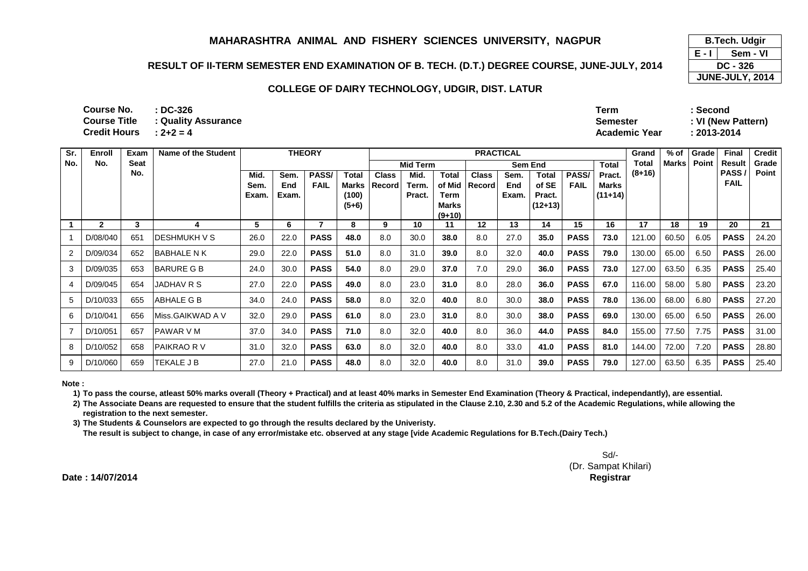## **RESULT OF II-TERM SEMESTER END EXAMINATION OF B. TECH. (D.T.) DEGREE COURSE, JUNE-JULY, 2014**

#### **COLLEGE OF DAIRY TECHNOLOGY, UDGIR, DIST. LATUR**

**: DC-326 Term : Second: 2+2 = 4 Academic Year : 2013-2014 Course No.Course Title Course Title : Quality AssuranceCredit Hours**

| Sr. | Enroll       | <b>Exam</b> | Name of the Student  |               |              | <b>THEORY</b> |                |              |                 |                | <b>PRACTICAL</b> |              | Grand           | % of         | Grade              | <b>Final</b> | <b>Credit</b> |       |                      |       |
|-----|--------------|-------------|----------------------|---------------|--------------|---------------|----------------|--------------|-----------------|----------------|------------------|--------------|-----------------|--------------|--------------------|--------------|---------------|-------|----------------------|-------|
| No. | No.          | <b>Seat</b> |                      |               |              |               |                |              | <b>Mid Term</b> |                |                  | Sem End      |                 |              | <b>Total</b>       | Total        | Marks         | Point | <b>Result</b>        | Grade |
|     |              | No.         |                      | Mid.          | Sem.         | <b>PASS/</b>  | <b>Total</b>   | <b>Class</b> | Mid.            | Total          | <b>Class</b>     | Sem.         | <b>Total</b>    | <b>PASS/</b> | Pract.             | $(8+16)$     |               |       | PASS/<br><b>FAIL</b> | Point |
|     |              |             |                      | Sem.<br>Exam. | End<br>Exam. | <b>FAIL</b>   | Marks<br>(100) | Record       | Term.<br>Pract. | of Mid<br>Term | Record           | End<br>Exam. | of SE<br>Pract. | <b>FAIL</b>  | Marks<br>$(11+14)$ |              |               |       |                      |       |
|     |              |             |                      |               |              |               | $(5+6)$        |              |                 | Marks          |                  |              | $(12+13)$       |              |                    |              |               |       |                      |       |
|     |              |             |                      |               |              |               |                |              |                 | $(9+10)$       |                  |              |                 |              |                    |              |               |       |                      |       |
|     | $\mathbf{2}$ | 3           |                      | 5             | 6            |               | 8              | 9            | 10              | 11             | 12               | 13           | 14              | 15           | 16                 | 17           | 18            | 19    | 20                   | 21    |
|     | D/08/040     | 651         | <b>IDESHMUKH V S</b> | 26.0          | 22.0         | <b>PASS</b>   | 48.0           | 8.0          | 30.0            | 38.0           | 8.0              | 27.0         | 35.0            | <b>PASS</b>  | 73.0               | 121.00       | 60.50         | 6.05  | <b>PASS</b>          | 24.20 |
|     | D/09/034     | 652         | lBABHALE N K         | 29.0          | 22.0         | <b>PASS</b>   | 51.0           | 8.0          | 31.0            | 39.0           | 8.0              | 32.0         | 40.0            | <b>PASS</b>  | 79.0               | 130.00       | 65.00         | 6.50  | <b>PASS</b>          | 26.00 |
|     | D/09/035     | 653         | <b>BARURE G B</b>    | 24.0          | 30.0         | <b>PASS</b>   | 54.0           | 8.0          | 29.0            | 37.0           | 7.0              | 29.0         | 36.0            | <b>PASS</b>  | 73.0               | 127.00       | 63.50         | 6.35  | <b>PASS</b>          | 25.40 |
| 4   | D/09/045     | 654         | JADHAV R S           | 27.0          | 22.0         | <b>PASS</b>   | 49.0           | 8.0          | 23.0            | 31.0           | 8.0              | 28.0         | 36.0            | <b>PASS</b>  | 67.0               | 116.00       | 58.00         | 5.80  | <b>PASS</b>          | 23.20 |
| 5   | D/10/033     | 655         | <b>ABHALE G B</b>    | 34.0          | 24.0         | <b>PASS</b>   | 58.0           | 8.0          | 32.0            | 40.0           | 8.0              | 30.0         | 38.0            | <b>PASS</b>  | 78.0               | 136.00       | 68.00         | 6.80  | <b>PASS</b>          | 27.20 |
| 6   | D/10/041     | 656         | Miss.GAIKWAD A V     | 32.0          | 29.0         | <b>PASS</b>   | 61.0           | 8.0          | 23.0            | 31.0           | 8.0              | 30.0         | 38.0            | <b>PASS</b>  | 69.0               | 130.00       | 65.00         | 6.50  | <b>PASS</b>          | 26.00 |
|     | D/10/051     | 657         | <b>IPAWAR V M</b>    | 37.0          | 34.0         | <b>PASS</b>   | 71.0           | 8.0          | 32.0            | 40.0           | 8.0              | 36.0         | 44.0            | <b>PASS</b>  | 84.0               | 155.00       | 77.50         | 7.75  | <b>PASS</b>          | 31.00 |
| 8   | D/10/052     | 658         | IPAIKRAO R V         | 31.0          | 32.0         | <b>PASS</b>   | 63.0           | 8.0          | 32.0            | 40.0           | 8.0              | 33.0         | 41.0            | <b>PASS</b>  | 81.0               | 144.00       | 72.00         | 7.20  | <b>PASS</b>          | 28.80 |
| 9   | D/10/060     | 659         | TEKALE J B           | 27.0          | 21.0         | <b>PASS</b>   | 48.0           | 8.0          | 32.0            | 40.0           | 8.0              | 31.0         | 39.0            | <b>PASS</b>  | 79.0               | 127.00       | 63.50         | 6.35  | <b>PASS</b>          | 25.40 |

**Note :**

**1) To pass the course, atleast 50% marks overall (Theory + Practical) and at least 40% marks in Semester End Examination (Theory & Practical, independantly), are essential.** 

**2) The Associate Deans are requested to ensure that the student fulfills the criteria as stipulated in the Clause 2.10, 2.30 and 5.2 of the Academic Regulations, while allowing the registration to the next semester.**

**3) The Students & Counselors are expected to go through the results declared by the Univeristy.** 

**The result is subject to change, in case of any error/mistake etc. observed at any stage [vide Academic Regulations for B.Tech.(Dairy Tech.)**

Sd/- (Dr. Sampat Khilari)**Controller of Examinations Registrar**

**Date : 14/07/2014**

**E - I B.Tech. Udgir Sem - VI DC - 326 JUNE-JULY, 2014**

**Semester : VI (New Pattern)**